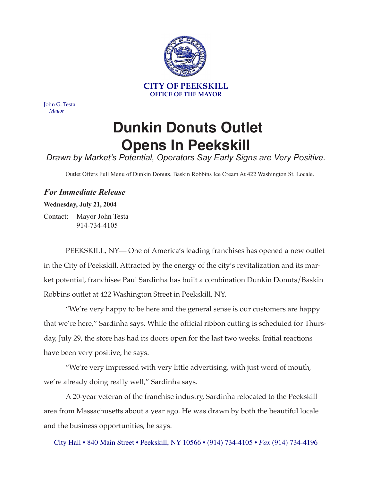

John G. Testa *Mayor*

## **Dunkin Donuts Outlet Opens In Peekskill**

## *Drawn by Market's Potential, Operators Say Early Signs are Very Positive.*

Outlet Offers Full Menu of Dunkin Donuts, Baskin Robbins Ice Cream At 422 Washington St. Locale.

## *For Immediate Release*

## **Wednesday, July 21, 2004**

Contact: Mayor John Testa 914-734-4105

PEEKSKILL, NY— One of America's leading franchises has opened a new outlet in the City of Peekskill. Attracted by the energy of the city's revitalization and its market potential, franchisee Paul Sardinha has built a combination Dunkin Donuts/Baskin Robbins outlet at 422 Washington Street in Peekskill, NY.

"We're very happy to be here and the general sense is our customers are happy that we're here," Sardinha says. While the official ribbon cutting is scheduled for Thursday, July 29, the store has had its doors open for the last two weeks. Initial reactions have been very positive, he says.

"We're very impressed with very little advertising, with just word of mouth, we're already doing really well," Sardinha says.

A 20-year veteran of the franchise industry, Sardinha relocated to the Peekskill area from Massachusetts about a year ago. He was drawn by both the beautiful locale and the business opportunities, he says.

City Hall • 840 Main Street • Peekskill, NY 10566 • (914) 734-4105 • *Fax* (914) 734-4196